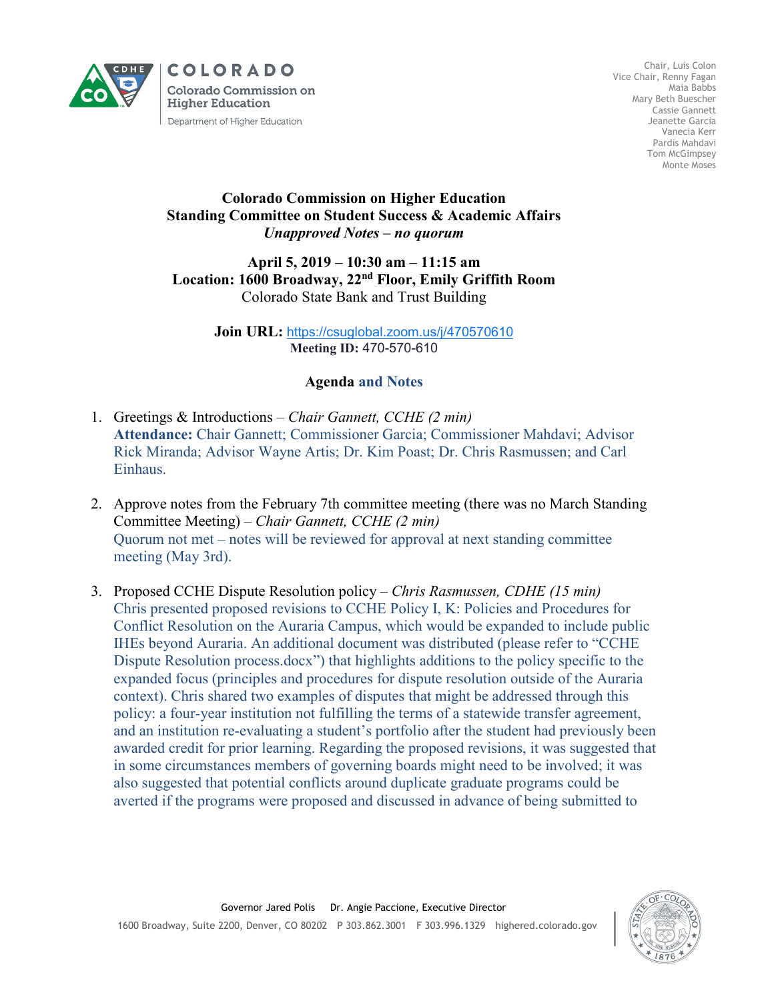

**COLORADO Colorado Commission on Higher Education** Department of Higher Education

Chair, Luis Colon Vice Chair, Renny Fagan Maia Babbs Mary Beth Buescher Cassie Gannett Jeanette Garcia Vanecia Kerr Pardis Mahdavi Tom McGimpsey Monte Moses

## **Colorado Commission on Higher Education Standing Committee on Student Success & Academic Affairs** *Unapproved Notes – no quorum*

## **April 5, 2019 – 10:30 am – 11:15 am Location: 1600 Broadway, 22nd Floor, Emily Griffith Room** Colorado State Bank and Trust Building

**Join URL:** <https://csuglobal.zoom.us/j/470570610> **Meeting ID:** 470-570-610

## **Agenda and Notes**

- 1. Greetings & Introductions *– Chair Gannett, CCHE (2 min)* **Attendance:** Chair Gannett; Commissioner Garcia; Commissioner Mahdavi; Advisor Rick Miranda; Advisor Wayne Artis; Dr. Kim Poast; Dr. Chris Rasmussen; and Carl Einhaus.
- 2. Approve notes from the February 7th committee meeting (there was no March Standing Committee Meeting) – *Chair Gannett, CCHE (2 min)* Quorum not met – notes will be reviewed for approval at next standing committee meeting (May 3rd).
- 3. Proposed CCHE Dispute Resolution policy *Chris Rasmussen, CDHE (15 min)* Chris presented proposed revisions to CCHE Policy I, K: Policies and Procedures for Conflict Resolution on the Auraria Campus, which would be expanded to include public IHEs beyond Auraria. An additional document was distributed (please refer to "CCHE Dispute Resolution process.docx") that highlights additions to the policy specific to the expanded focus (principles and procedures for dispute resolution outside of the Auraria context). Chris shared two examples of disputes that might be addressed through this policy: a four-year institution not fulfilling the terms of a statewide transfer agreement, and an institution re-evaluating a student's portfolio after the student had previously been awarded credit for prior learning. Regarding the proposed revisions, it was suggested that in some circumstances members of governing boards might need to be involved; it was also suggested that potential conflicts around duplicate graduate programs could be averted if the programs were proposed and discussed in advance of being submitted to

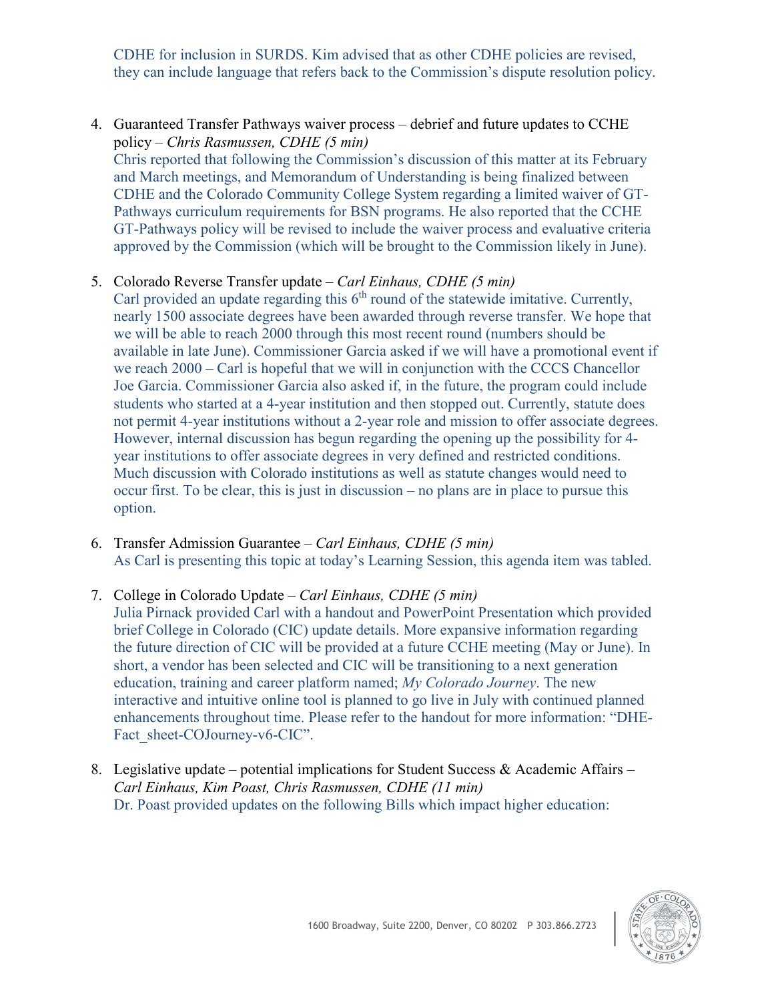CDHE for inclusion in SURDS. Kim advised that as other CDHE policies are revised, they can include language that refers back to the Commission's dispute resolution policy.

- 4. Guaranteed Transfer Pathways waiver process debrief and future updates to CCHE policy – *Chris Rasmussen, CDHE (5 min)* Chris reported that following the Commission's discussion of this matter at its February and March meetings, and Memorandum of Understanding is being finalized between CDHE and the Colorado Community College System regarding a limited waiver of GT-Pathways curriculum requirements for BSN programs. He also reported that the CCHE GT-Pathways policy will be revised to include the waiver process and evaluative criteria approved by the Commission (which will be brought to the Commission likely in June).
- 5. Colorado Reverse Transfer update *Carl Einhaus, CDHE (5 min)*
	- Carl provided an update regarding this  $6<sup>th</sup>$  round of the statewide imitative. Currently, nearly 1500 associate degrees have been awarded through reverse transfer. We hope that we will be able to reach 2000 through this most recent round (numbers should be available in late June). Commissioner Garcia asked if we will have a promotional event if we reach 2000 – Carl is hopeful that we will in conjunction with the CCCS Chancellor Joe Garcia. Commissioner Garcia also asked if, in the future, the program could include students who started at a 4-year institution and then stopped out. Currently, statute does not permit 4-year institutions without a 2-year role and mission to offer associate degrees. However, internal discussion has begun regarding the opening up the possibility for 4 year institutions to offer associate degrees in very defined and restricted conditions. Much discussion with Colorado institutions as well as statute changes would need to occur first. To be clear, this is just in discussion – no plans are in place to pursue this option.
- 6. Transfer Admission Guarantee *Carl Einhaus, CDHE (5 min)* As Carl is presenting this topic at today's Learning Session, this agenda item was tabled.
- 7. College in Colorado Update *Carl Einhaus, CDHE (5 min)* Julia Pirnack provided Carl with a handout and PowerPoint Presentation which provided brief College in Colorado (CIC) update details. More expansive information regarding the future direction of CIC will be provided at a future CCHE meeting (May or June). In short, a vendor has been selected and CIC will be transitioning to a next generation education, training and career platform named; *My Colorado Journey*. The new interactive and intuitive online tool is planned to go live in July with continued planned enhancements throughout time. Please refer to the handout for more information: "DHE-Fact sheet-COJourney-v6-CIC".
- 8. Legislative update potential implications for Student Success & Academic Affairs *Carl Einhaus, Kim Poast, Chris Rasmussen, CDHE (11 min)* Dr. Poast provided updates on the following Bills which impact higher education: